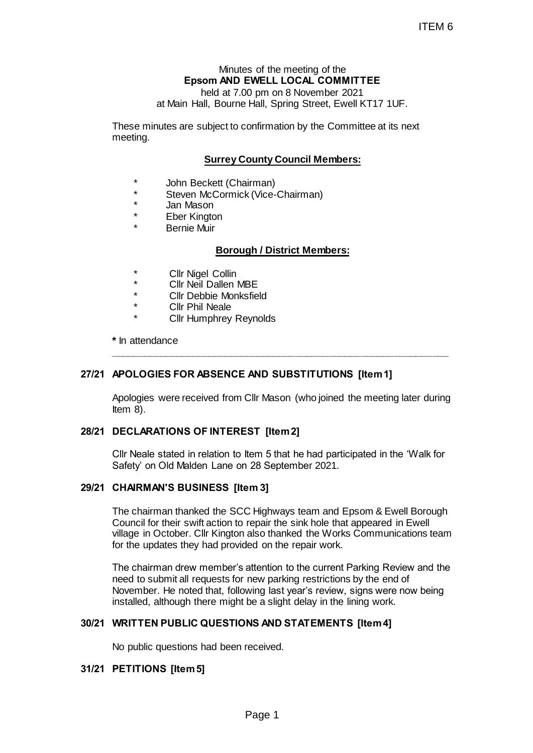# Minutes of the meeting of the **Epsom AND EWELL LOCAL COMMITTEE**

held at 7.00 pm on 8 November 2021 at Main Hall, Bourne Hall, Spring Street, Ewell KT17 1UF.

These minutes are subject to confirmation by the Committee at its next meeting.

# **Surrey County Council Members:**

- \* John Beckett (Chairman)
- Steven McCormick (Vice-Chairman)
- Jan Mason
- **Eber Kington**
- Bernie Muir

### **Borough / District Members:**

- **Cllr Nigel Collin**
- Cllr Neil Dallen MBE
- Cllr Debbie Monksfield
- Cllr Phil Neale
	- **Cllr Humphrey Reynolds**

**\*** In attendance

### **27/21 APOLOGIES FOR ABSENCE AND SUBSTITUTIONS [Item 1]**

Apologies were received from Cllr Mason (who joined the meeting later during Item 8).

**\_\_\_\_\_\_\_\_\_\_\_\_\_\_\_\_\_\_\_\_\_\_\_\_\_\_\_\_\_\_\_\_\_\_\_\_\_\_\_\_\_\_\_\_\_\_\_\_\_\_\_\_\_\_\_\_\_\_\_\_\_\_**

### **28/21 DECLARATIONS OF INTEREST [Item 2]**

Cllr Neale stated in relation to Item 5 that he had participated in the 'Walk for Safety' on Old Malden Lane on 28 September 2021.

### **29/21 CHAIRMAN'S BUSINESS [Item 3]**

The chairman thanked the SCC Highways team and Epsom & Ewell Borough Council for their swift action to repair the sink hole that appeared in Ewell village in October. Cllr Kington also thanked the Works Communications team for the updates they had provided on the repair work.

The chairman drew member's attention to the current Parking Review and the need to submit all requests for new parking restrictions by the end of November. He noted that, following last year's review, signs were now being installed, although there might be a slight delay in the lining work. ITEM 6<br>
ITEM 6<br>
Solomon on 8 November 2021<br>
The IL LOCAL COMMITTEE<br>
The IL Spring Street, Ewell KT17 1UF.<br>
confirmation by the Committee at its next<br>
confirmation by the Committee at its next<br>
confirmation<br>
During Council

### **30/21 WRITTEN PUBLIC QUESTIONS AND STATEMENTS [Item 4]**

No public questions had been received.

### **31/21 PETITIONS [Item 5]**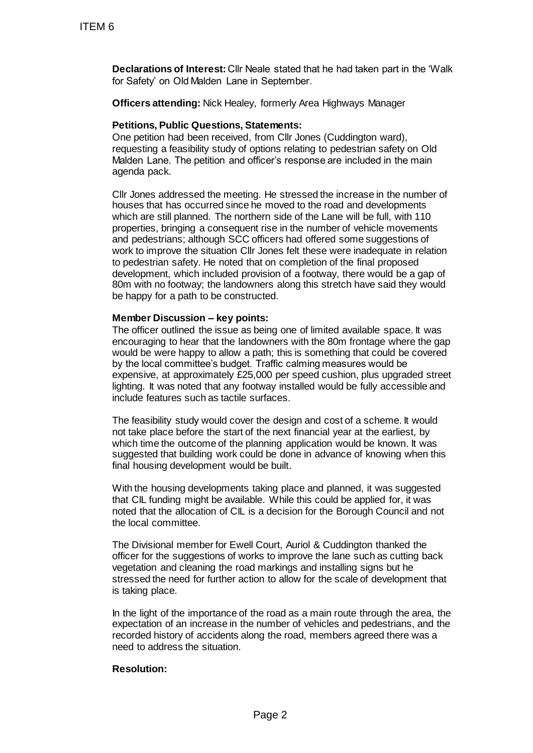**Declarations of Interest:** Cllr Neale stated that he had taken part in the 'Walk for Safety' on Old Malden Lane in September.

**Officers attending:** Nick Healey, formerly Area Highways Manager

## **Petitions, Public Questions, Statements:**

One petition had been received, from Cllr Jones (Cuddington ward), requesting a feasibility study of options relating to pedestrian safety on Old Malden Lane. The petition and officer's response are included in the main agenda pack.

Cllr Jones addressed the meeting. He stressed the increase in the number of houses that has occurred since he moved to the road and developments which are still planned. The northern side of the Lane will be full, with 110 properties, bringing a consequent rise in the number of vehicle movements and pedestrians; although SCC officers had offered some suggestions of work to improve the situation Cllr Jones felt these were inadequate in relation to pedestrian safety. He noted that on completion of the final proposed development, which included provision of a footway, there would be a gap of 80m with no footway; the landowners along this stretch have said they would be happy for a path to be constructed. ITEM 6<br>
Declarations of Interest: ClIr Naale sta<br>
for Safety' on Old Malden Lane in Septe<br>
Officers attending: Nick Healey, forme<br>
Petitions, Public Questions, Statemer<br>
One petition had been received, from Cl<br>
requesting

## **Member Discussion – key points:**

The officer outlined the issue as being one of limited available space. It was encouraging to hear that the landowners with the 80m frontage where the gap would be were happy to allow a path; this is something that could be covered by the local committee's budget. Traffic calming measures would be expensive, at approximately £25,000 per speed cushion, plus upgraded street lighting. It was noted that any footway installed would be fully accessible and include features such as tactile surfaces.

The feasibility study would cover the design and cost of a scheme. It would not take place before the start of the next financial year at the earliest, by which time the outcome of the planning application would be known. It was suggested that building work could be done in advance of knowing when this final housing development would be built.

With the housing developments taking place and planned, it was suggested that CIL funding might be available. While this could be applied for, it was noted that the allocation of CIL is a decision for the Borough Council and not the local committee.

The Divisional member for Ewell Court, Auriol & Cuddington thanked the officer for the suggestions of works to improve the lane such as cutting back vegetation and cleaning the road markings and installing signs but he stressed the need for further action to allow for the scale of development that is taking place.

In the light of the importance of the road as a main route through the area, the expectation of an increase in the number of vehicles and pedestrians, and the recorded history of accidents along the road, members agreed there was a need to address the situation.

# **Resolution:**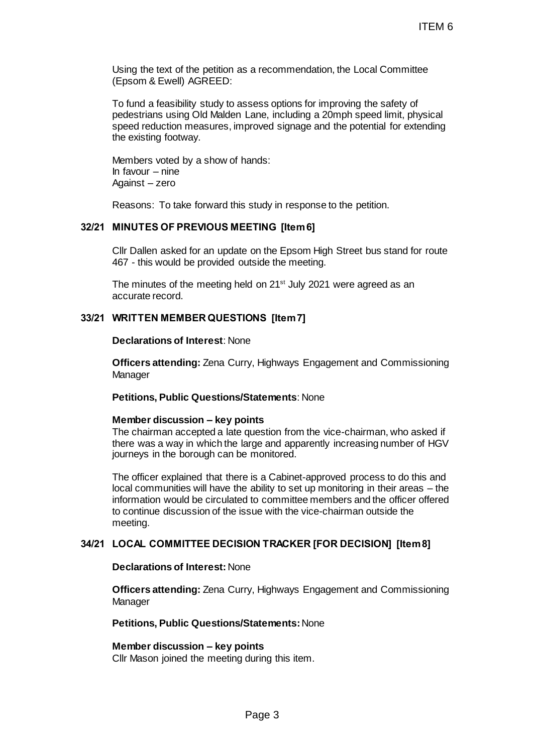Using the text of the petition as a recommendation, the Local Committee (Epsom & Ewell) AGREED:

To fund a feasibility study to assess options for improving the safety of pedestrians using Old Malden Lane, including a 20mph speed limit, physical speed reduction measures, improved signage and the potential for extending the existing footway.

Members voted by a show of hands: In favour – nine Against – zero

Reasons: To take forward this study in response to the petition.

## **32/21 MINUTES OF PREVIOUS MEETING [Item 6]**

Cllr Dallen asked for an update on the Epsom High Street bus stand for route 467 - this would be provided outside the meeting.

The minutes of the meeting held on 21<sup>st</sup> July 2021 were agreed as an accurate record.

# **33/21 WRITTEN MEMBERQUESTIONS [Item 7]**

#### **Declarations of Interest**: None

**Officers attending:** Zena Curry, Highways Engagement and Commissioning **Manager** 

## **Petitions, Public Questions/Statements**: None

#### **Member discussion – key points**

The chairman accepted a late question from the vice-chairman, who asked if there was a way in which the large and apparently increasing number of HGV journeys in the borough can be monitored.

The officer explained that there is a Cabinet-approved process to do this and local communities will have the ability to set up monitoring in their areas – the information would be circulated to committee members and the officer offered to continue discussion of the issue with the vice-chairman outside the meeting. ITEM 6<br>
is a recommendation, the Local Committee<br>
seess options for improving the safety of<br>
clane, including a 20mph speed limit, physical<br>
proved signage and the potential for extending<br>
ands:<br>
study in response to the p

### **34/21 LOCAL COMMITTEE DECISION TRACKER [FOR DECISION] [Item 8]**

# **Declarations of Interest:** None

**Officers attending:** Zena Curry, Highways Engagement and Commissioning Manager

#### **Petitions, Public Questions/Statements:**None

#### **Member discussion – key points**

Cllr Mason joined the meeting during this item.